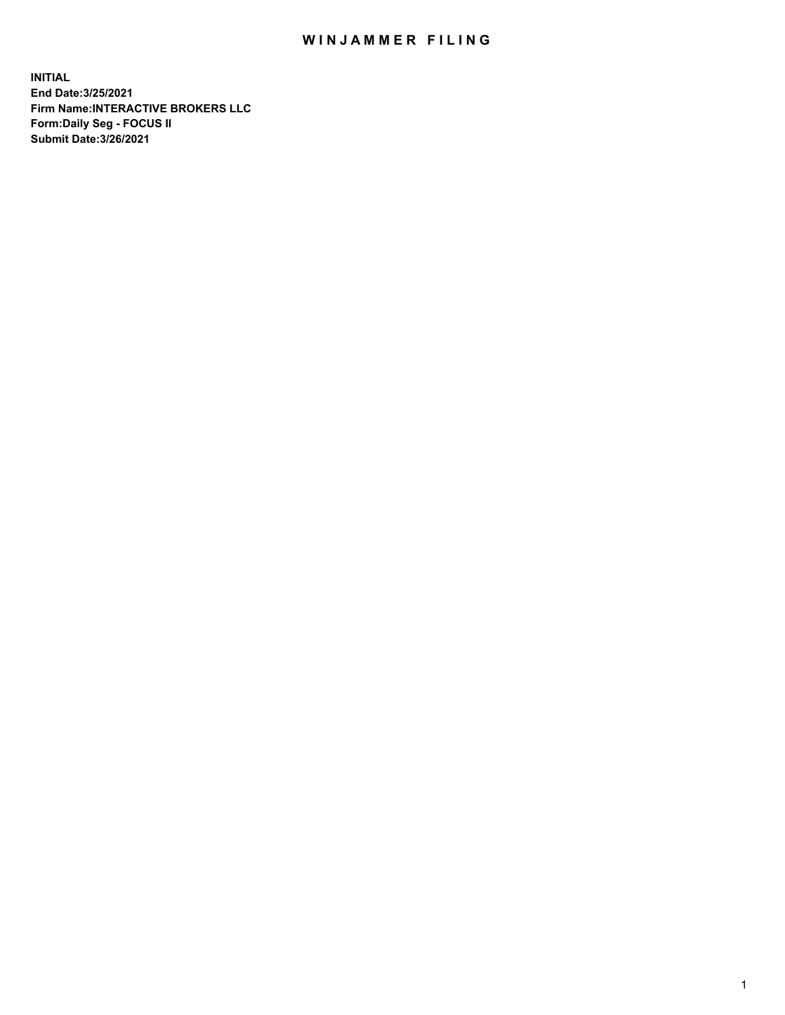## WIN JAMMER FILING

**INITIAL End Date:3/25/2021 Firm Name:INTERACTIVE BROKERS LLC Form:Daily Seg - FOCUS II Submit Date:3/26/2021**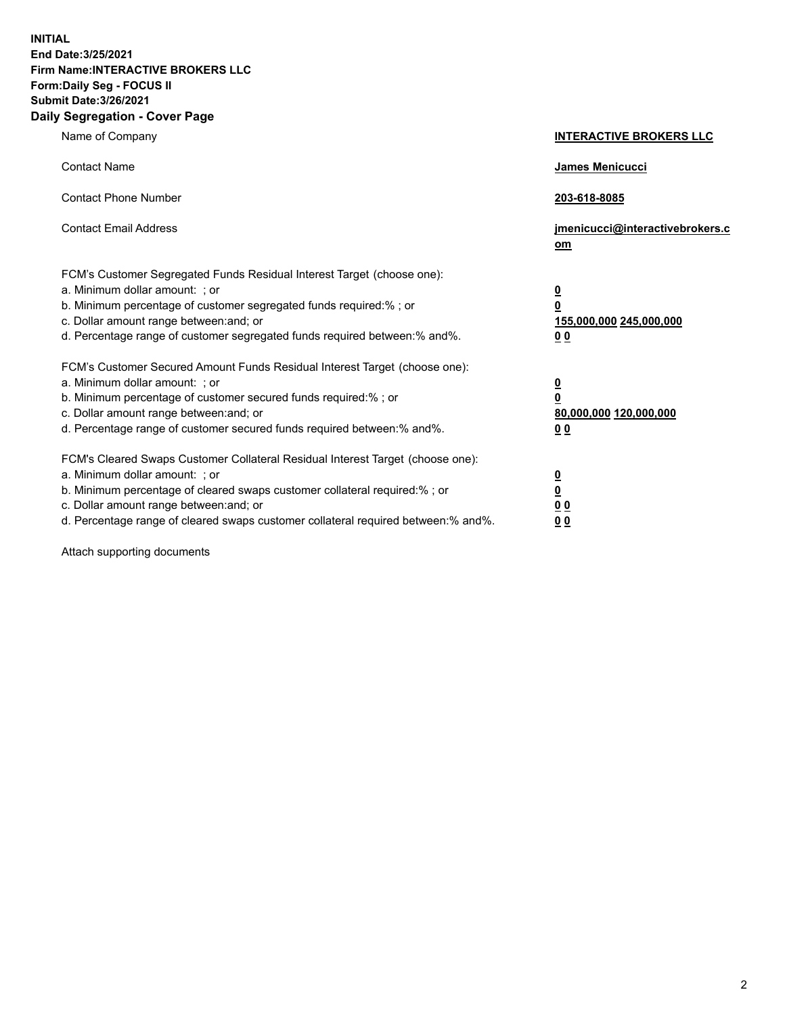**INITIAL End Date:3/25/2021 Firm Name:INTERACTIVE BROKERS LLC Form:Daily Seg - FOCUS II Submit Date:3/26/2021 Daily Segregation - Cover Page**

| Name of Company                                                                                                                                                                                                                                                                                                                | <b>INTERACTIVE BROKERS LLC</b>                                                   |
|--------------------------------------------------------------------------------------------------------------------------------------------------------------------------------------------------------------------------------------------------------------------------------------------------------------------------------|----------------------------------------------------------------------------------|
| <b>Contact Name</b>                                                                                                                                                                                                                                                                                                            | James Menicucci                                                                  |
| <b>Contact Phone Number</b>                                                                                                                                                                                                                                                                                                    | 203-618-8085                                                                     |
| <b>Contact Email Address</b>                                                                                                                                                                                                                                                                                                   | jmenicucci@interactivebrokers.c<br>om                                            |
| FCM's Customer Segregated Funds Residual Interest Target (choose one):<br>a. Minimum dollar amount: ; or<br>b. Minimum percentage of customer segregated funds required:% ; or<br>c. Dollar amount range between: and; or<br>d. Percentage range of customer segregated funds required between:% and%.                         | <u>0</u><br>$\overline{\mathbf{0}}$<br>155,000,000 245,000,000<br>0 <sub>0</sub> |
| FCM's Customer Secured Amount Funds Residual Interest Target (choose one):<br>a. Minimum dollar amount: ; or<br>b. Minimum percentage of customer secured funds required:% ; or<br>c. Dollar amount range between: and; or<br>d. Percentage range of customer secured funds required between:% and%.                           | <u>0</u><br>$\overline{\mathbf{0}}$<br>80,000,000 120,000,000<br>0 <sub>0</sub>  |
| FCM's Cleared Swaps Customer Collateral Residual Interest Target (choose one):<br>a. Minimum dollar amount: ; or<br>b. Minimum percentage of cleared swaps customer collateral required:% ; or<br>c. Dollar amount range between: and; or<br>d. Percentage range of cleared swaps customer collateral required between:% and%. | <u>0</u><br>$\underline{\mathbf{0}}$<br>0 <sub>0</sub><br>0 <sub>0</sub>         |

Attach supporting documents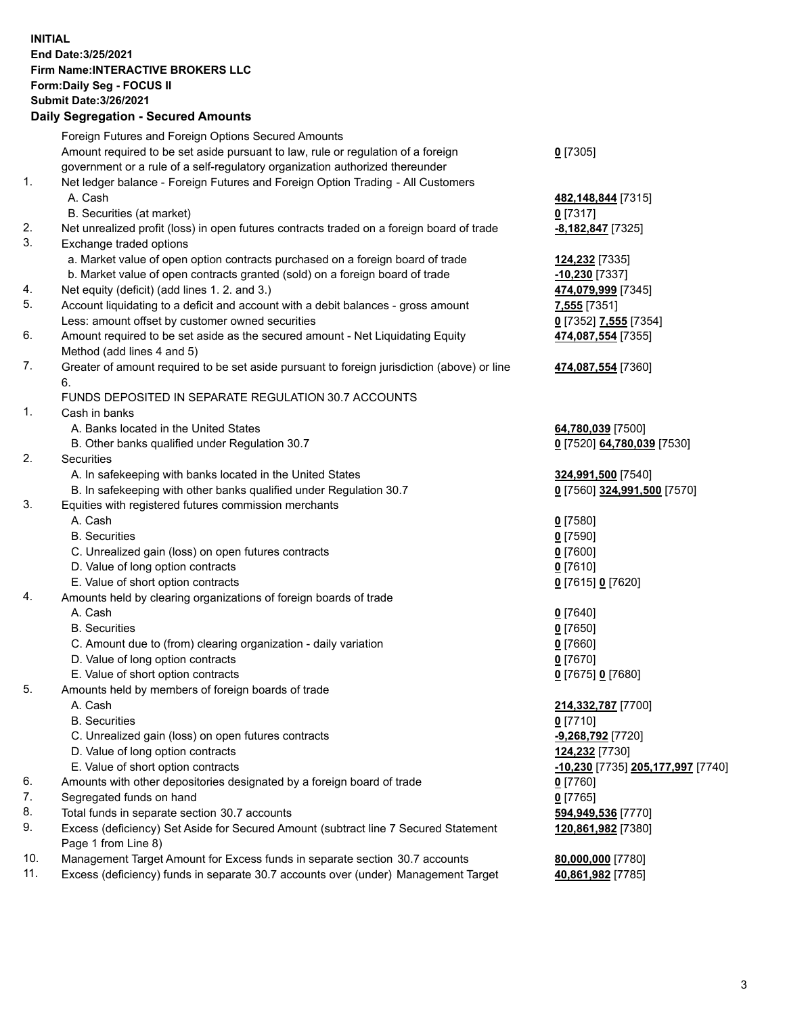**INITIAL End Date:3/25/2021 Firm Name:INTERACTIVE BROKERS LLC Form:Daily Seg - FOCUS II Submit Date:3/26/2021 Daily Segregation - Secured Amounts**

## Foreign Futures and Foreign Options Secured Amounts Amount required to be set aside pursuant to law, rule or regulation of a foreign government or a rule of a self-regulatory organization authorized thereunder **0** [7305] 1. Net ledger balance - Foreign Futures and Foreign Option Trading - All Customers A. Cash **482,148,844** [7315] B. Securities (at market) **0** [7317] 2. Net unrealized profit (loss) in open futures contracts traded on a foreign board of trade **-8,182,847** [7325] 3. Exchange traded options a. Market value of open option contracts purchased on a foreign board of trade **124,232** [7335] b. Market value of open contracts granted (sold) on a foreign board of trade **-10,230** [7337] 4. Net equity (deficit) (add lines 1. 2. and 3.) **474,079,999** [7345] 5. Account liquidating to a deficit and account with a debit balances - gross amount **7,555** [7351] Less: amount offset by customer owned securities **0** [7352] **7,555** [7354] 6. Amount required to be set aside as the secured amount - Net Liquidating Equity Method (add lines 4 and 5) **474,087,554** [7355] 7. Greater of amount required to be set aside pursuant to foreign jurisdiction (above) or line 6. **474,087,554** [7360] FUNDS DEPOSITED IN SEPARATE REGULATION 30.7 ACCOUNTS 1. Cash in banks A. Banks located in the United States **64,780,039** [7500] B. Other banks qualified under Regulation 30.7 **0** [7520] **64,780,039** [7530] 2. Securities A. In safekeeping with banks located in the United States **324,991,500** [7540] B. In safekeeping with other banks qualified under Regulation 30.7 **0** [7560] **324,991,500** [7570] 3. Equities with registered futures commission merchants A. Cash **0** [7580] B. Securities **0** [7590] C. Unrealized gain (loss) on open futures contracts **0** [7600] D. Value of long option contracts **0** [7610] E. Value of short option contracts **0** [7615] **0** [7620] 4. Amounts held by clearing organizations of foreign boards of trade A. Cash **0** [7640] B. Securities **0** [7650] C. Amount due to (from) clearing organization - daily variation **0** [7660] D. Value of long option contracts **0** [7670] E. Value of short option contracts **0** [7675] **0** [7680] 5. Amounts held by members of foreign boards of trade A. Cash **214,332,787** [7700] B. Securities **0** [7710] C. Unrealized gain (loss) on open futures contracts **-9,268,792** [7720] D. Value of long option contracts **124,232** [7730] E. Value of short option contracts **-10,230** [7735] **205,177,997** [7740] 6. Amounts with other depositories designated by a foreign board of trade **0** [7760] 7. Segregated funds on hand **0** [7765] 8. Total funds in separate section 30.7 accounts **594,949,536** [7770] 9. Excess (deficiency) Set Aside for Secured Amount (subtract line 7 Secured Statement Page 1 from Line 8) **120,861,982** [7380] 10. Management Target Amount for Excess funds in separate section 30.7 accounts **80,000,000** [7780] 11. Excess (deficiency) funds in separate 30.7 accounts over (under) Management Target **40,861,982** [7785]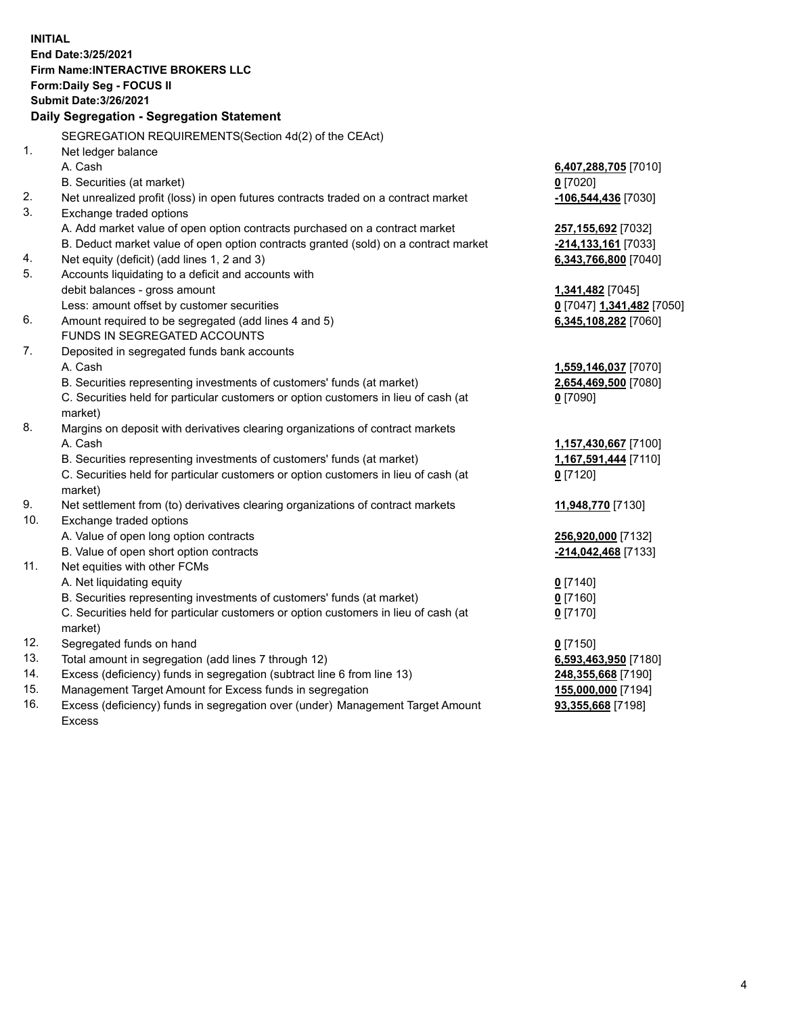**INITIAL End Date:3/25/2021 Firm Name:INTERACTIVE BROKERS LLC Form:Daily Seg - FOCUS II Submit Date:3/26/2021 Daily Segregation - Segregation Statement** SEGREGATION REQUIREMENTS(Section 4d(2) of the CEAct) 1. Net ledger balance A. Cash **6,407,288,705** [7010] B. Securities (at market) **0** [7020] 2. Net unrealized profit (loss) in open futures contracts traded on a contract market **-106,544,436** [7030] 3. Exchange traded options A. Add market value of open option contracts purchased on a contract market **257,155,692** [7032] B. Deduct market value of open option contracts granted (sold) on a contract market **-214,133,161** [7033] 4. Net equity (deficit) (add lines 1, 2 and 3) **6,343,766,800** [7040] 5. Accounts liquidating to a deficit and accounts with debit balances - gross amount **1,341,482** [7045] Less: amount offset by customer securities **0** [7047] **1,341,482** [7050] 6. Amount required to be segregated (add lines 4 and 5) **6,345,108,282** [7060] FUNDS IN SEGREGATED ACCOUNTS 7. Deposited in segregated funds bank accounts A. Cash **1,559,146,037** [7070] B. Securities representing investments of customers' funds (at market) **2,654,469,500** [7080] C. Securities held for particular customers or option customers in lieu of cash (at market) **0** [7090] 8. Margins on deposit with derivatives clearing organizations of contract markets A. Cash **1,157,430,667** [7100] B. Securities representing investments of customers' funds (at market) **1,167,591,444** [7110] C. Securities held for particular customers or option customers in lieu of cash (at market) **0** [7120] 9. Net settlement from (to) derivatives clearing organizations of contract markets **11,948,770** [7130] 10. Exchange traded options A. Value of open long option contracts **256,920,000** [7132] B. Value of open short option contracts **-214,042,468** [7133] 11. Net equities with other FCMs A. Net liquidating equity **0** [7140] B. Securities representing investments of customers' funds (at market) **0** [7160] C. Securities held for particular customers or option customers in lieu of cash (at market) **0** [7170] 12. Segregated funds on hand **0** [7150] 13. Total amount in segregation (add lines 7 through 12) **6,593,463,950** [7180] 14. Excess (deficiency) funds in segregation (subtract line 6 from line 13) **248,355,668** [7190] 15. Management Target Amount for Excess funds in segregation **155,000,000** [7194] 16. Excess (deficiency) funds in segregation over (under) Management Target Amount **93,355,668** [7198]

Excess